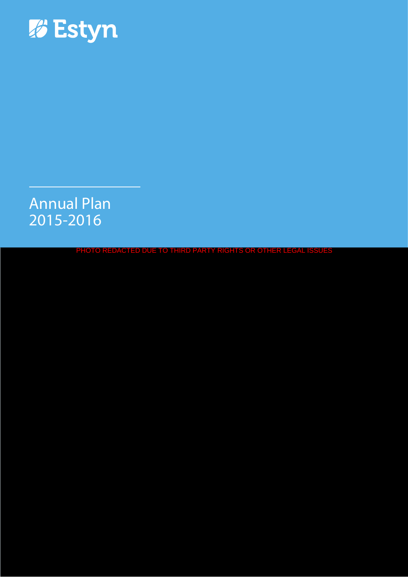

# Annual Plan 2015-2016

PHOTO REDACTED DUE TO THIRD PARTY RIGHTS OR OTHER LEGAL ISSUES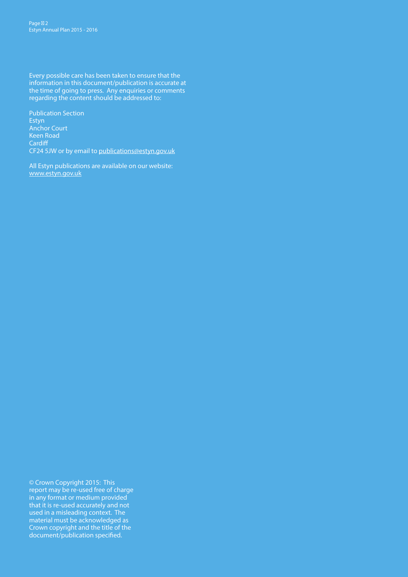Every possible care has been taken to ensure that the information in this document/publication is accurate at the time of going to press. Any enquiries or comments regarding the content should be addressed to:

Publication Section Estyn Anchor Court Keen Road **Cardiff** CF24 5JW or by email to publications@estyn.gov.uk

All Estyn publications are available on our website: www.estyn.gov.uk

© Crown Copyright 2015: This report may be re-used free of charge in any format or medium provided that it is re-used accurately and not used in a misleading context. The material must be acknowledged as Crown copyright and the title of the document/publication specified.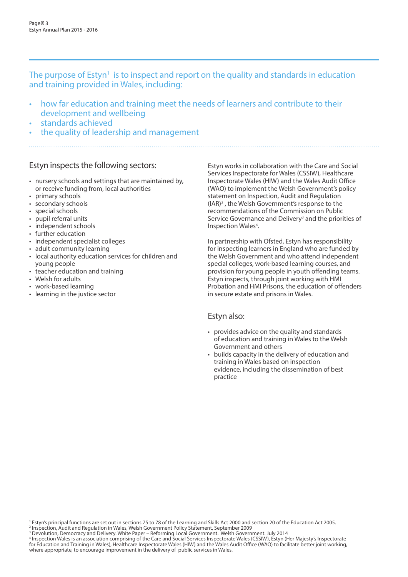The purpose of Estyn<sup>1</sup> is to inspect and report on the quality and standards in education and training provided in Wales, including:

- how far education and training meet the needs of learners and contribute to their development and wellbeing
- standards achieved
- the quality of leadership and management

## Estyn inspects the following sectors:

- nursery schools and settings that are maintained by, or receive funding from, local authorities
- primary schools
- secondary schools
- special schools
- pupil referral units
- independent schools
- further education
- independent specialist colleges
- adult community learning
- local authority education services for children and young people
- teacher education and training
- Welsh for adults
- work-based learning
- learning in the justice sector

Estyn works in collaboration with the Care and Social Services Inspectorate for Wales (CSSIW), Healthcare Inspectorate Wales (HIW) and the Wales Audit Office (WAO) to implement the Welsh Government's policy statement on Inspection, Audit and Regulation (IAR)<sup>2</sup>, the Welsh Government's response to the recommendations of the Commission on Public Service Governance and Delivery<sup>3</sup> and the priorities of Inspection Wales<sup>4</sup>.

In partnership with Ofsted, Estyn has responsibility for inspecting learners in England who are funded by the Welsh Government and who attend independent special colleges, work-based learning courses, and provision for young people in youth offending teams. Estyn inspects, through joint working with HMI Probation and HMI Prisons, the education of offenders in secure estate and prisons in Wales.

### Estyn also:

- provides advice on the quality and standards of education and training in Wales to the Welsh Government and others
- builds capacity in the delivery of education and training in Wales based on inspection evidence, including the dissemination of best practice

<sup>&</sup>lt;sup>1</sup> Estyn's principal functions are set out in sections 75 to 78 of the Learning and Skills Act 2000 and section 20 of the Education Act 2005.

<sup>&</sup>lt;sup>2</sup> Inspection, Audit and Regulation in Wales, Welsh Government Policy Statement, September 2009<br><sup>3</sup> Devolution, Democracy and Delivery. White Paper – Reforming Local Government. Welsh Government. July 2014

<sup>4</sup> Inspection Wales is an association comprising of the Care and Social Services Inspectorate Wales (CSSIW), Estyn (Her Majesty's Inspectorate for Education and Training in Wales), Healthcare Inspectorate Wales (HIW) and the Wales Audit Office (WAO) to facilitate better joint working, where appropriate, to encourage improvement in the delivery of public services in Wales.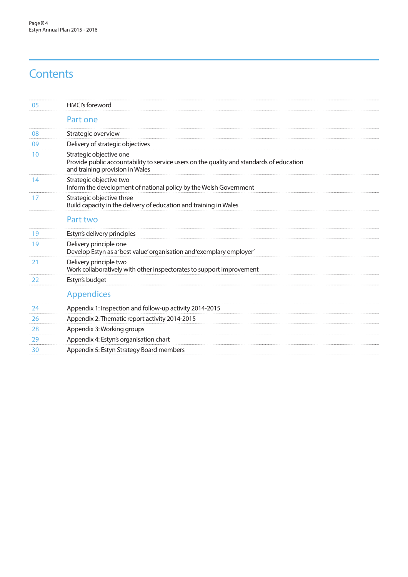# **Contents**

| 05 | HMCI's foreword                                                                                                                                        |
|----|--------------------------------------------------------------------------------------------------------------------------------------------------------|
|    | Part one                                                                                                                                               |
| 08 | Strategic overview                                                                                                                                     |
| 09 | Delivery of strategic objectives                                                                                                                       |
| 10 | Strategic objective one<br>Provide public accountability to service users on the quality and standards of education<br>and training provision in Wales |
| 14 | Strategic objective two<br>Inform the development of national policy by the Welsh Government                                                           |
| 17 | Strategic objective three<br>Build capacity in the delivery of education and training in Wales                                                         |
|    | Part two                                                                                                                                               |
| 19 | Estyn's delivery principles                                                                                                                            |
| 19 | Delivery principle one<br>Develop Estyn as a 'best value' organisation and 'exemplary employer'                                                        |
| 21 | Delivery principle two<br>Work collaboratively with other inspectorates to support improvement                                                         |
| 22 | Estyn's budget                                                                                                                                         |
|    | <b>Appendices</b>                                                                                                                                      |
| 24 | Appendix 1: Inspection and follow-up activity 2014-2015                                                                                                |
| 26 | Appendix 2: Thematic report activity 2014-2015                                                                                                         |
| 28 | Appendix 3: Working groups                                                                                                                             |
| 29 | Appendix 4: Estyn's organisation chart                                                                                                                 |
| 30 | Appendix 5: Estyn Strategy Board members                                                                                                               |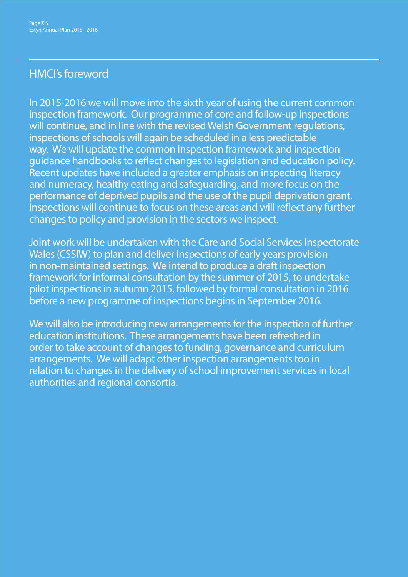# HMCI's foreword

In 2015-2016 we will move into the sixth year of using the current common inspection framework. Our programme of core and follow-up inspections will continue, and in line with the revised Welsh Government regulations, inspections of schools will again be scheduled in a less predictable way. We will update the common inspection framework and inspection guidance handbooks to reflect changes to legislation and education policy. Recent updates have included a greater emphasis on inspecting literacy and numeracy, healthy eating and safeguarding, and more focus on the performance of deprived pupils and the use of the pupil deprivation grant. Inspections will continue to focus on these areas and will reflect any further changes to policy and provision in the sectors we inspect.

Joint work will be undertaken with the Care and Social Services Inspectorate Wales (CSSIW) to plan and deliver inspections of early years provision in non-maintained settings. We intend to produce a draft inspection framework for informal consultation by the summer of 2015, to undertake pilot inspections in autumn 2015, followed by formal consultation in 2016 before a new programme of inspections begins in September 2016.

We will also be introducing new arrangements for the inspection of further education institutions. These arrangements have been refreshed in order to take account of changes to funding, governance and curriculum arrangements. We will adapt other inspection arrangements too in relation to changes in the delivery of school improvement services in local authorities and regional consortia.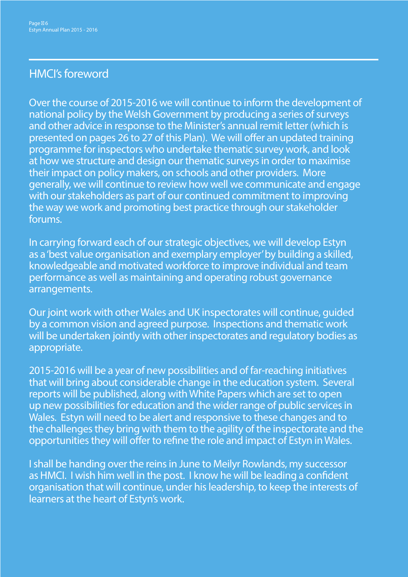# HMCI's foreword

Over the course of 2015-2016 we will continue to inform the development of national policy by the Welsh Government by producing a series of surveys and other advice in response to the Minister's annual remit letter (which is presented on pages 26 to 27 of this Plan). We will offer an updated training programme for inspectors who undertake thematic survey work, and look at how we structure and design our thematic surveys in order to maximise their impact on policy makers, on schools and other providers. More generally, we will continue to review how well we communicate and engage with our stakeholders as part of our continued commitment to improving the way we work and promoting best practice through our stakeholder forums.

In carrying forward each of our strategic objectives, we will develop Estyn as a 'best value organisation and exemplary employer' by building a skilled, knowledgeable and motivated workforce to improve individual and team performance as well as maintaining and operating robust governance arrangements.

Our joint work with other Wales and UK inspectorates will continue, guided by a common vision and agreed purpose. Inspections and thematic work will be undertaken jointly with other inspectorates and regulatory bodies as appropriate.

2015-2016 will be a year of new possibilities and of far-reaching initiatives that will bring about considerable change in the education system. Several reports will be published, along with White Papers which are set to open up new possibilities for education and the wider range of public services in Wales. Estyn will need to be alert and responsive to these changes and to the challenges they bring with them to the agility of the inspectorate and the opportunities they will offer to refine the role and impact of Estyn in Wales.

I shall be handing over the reins in June to Meilyr Rowlands, my successor as HMCI. I wish him well in the post. I know he will be leading a confident organisation that will continue, under his leadership, to keep the interests of learners at the heart of Estyn's work.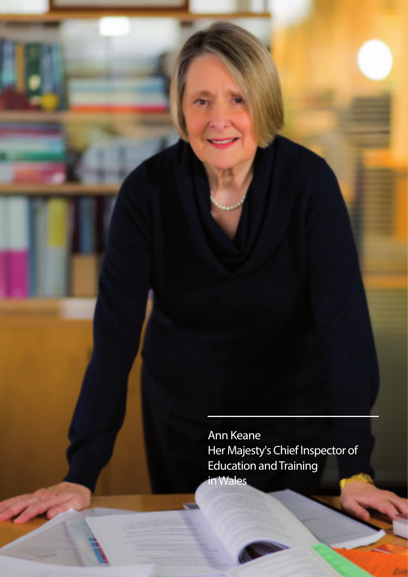Ann Keane Her Majesty's Chief Inspector of Education and Training in Wales

Page 7

Estyn Annual Plan 2015 - 2016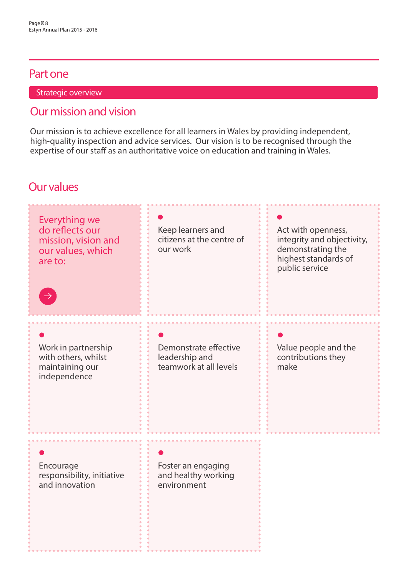# Part one

Strategic overview

# Our mission and vision

Our mission is to achieve excellence for all learners in Wales by providing independent, high-quality inspection and advice services. Our vision is to be recognised through the expertise of our staff as an authoritative voice on education and training in Wales.

# Our values

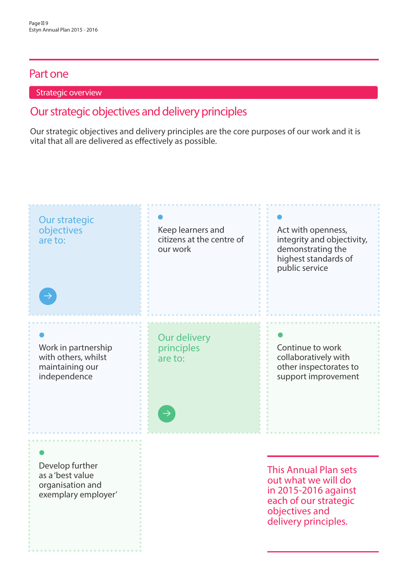## Part one

## Strategic overview

# Our strategic objectives and delivery principles

Our strategic objectives and delivery principles are the core purposes of our work and it is vital that all are delivered as effectively as possible.

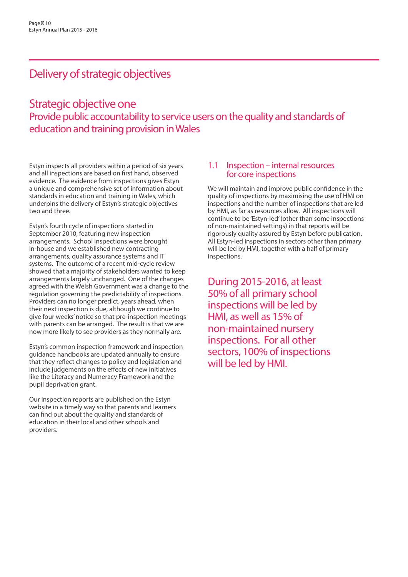# Delivery of strategic objectives

# Strategic objective one Provide public accountability to service users on the quality and standards of education and training provision in Wales

Estyn inspects all providers within a period of six years and all inspections are based on first hand, observed evidence. The evidence from inspections gives Estyn a unique and comprehensive set of information about standards in education and training in Wales, which underpins the delivery of Estyn's strategic objectives two and three.

Estyn's fourth cycle of inspections started in September 2010, featuring new inspection arrangements. School inspections were brought in-house and we established new contracting arrangements, quality assurance systems and IT systems. The outcome of a recent mid-cycle review showed that a majority of stakeholders wanted to keep arrangements largely unchanged. One of the changes agreed with the Welsh Government was a change to the regulation governing the predictability of inspections. Providers can no longer predict, years ahead, when their next inspection is due, although we continue to give four weeks' notice so that pre-inspection meetings with parents can be arranged. The result is that we are now more likely to see providers as they normally are.

Estyn's common inspection framework and inspection guidance handbooks are updated annually to ensure that they reflect changes to policy and legislation and include judgements on the effects of new initiatives like the Literacy and Numeracy Framework and the pupil deprivation grant.

Our inspection reports are published on the Estyn website in a timely way so that parents and learners can find out about the quality and standards of education in their local and other schools and providers.

# 1.1 Inspection – internal resources for core inspections

We will maintain and improve public confidence in the quality of inspections by maximising the use of HMI on inspections and the number of inspections that are led by HMI, as far as resources allow. All inspections will continue to be 'Estyn-led' (other than some inspections of non-maintained settings) in that reports will be rigorously quality assured by Estyn before publication. All Estyn-led inspections in sectors other than primary will be led by HMI, together with a half of primary inspections.

During 2015-2016, at least 50% of all primary school inspections will be led by HMI, as well as 15% of non-maintained nursery inspections. For all other sectors, 100% of inspections will be led by HMI.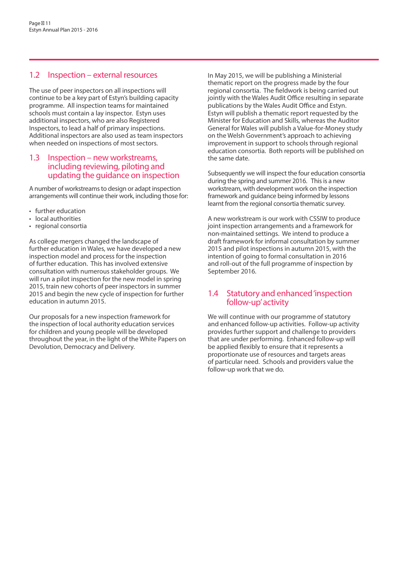### 1.2 Inspection – external resources

The use of peer inspectors on all inspections will continue to be a key part of Estyn's building capacity programme. All inspection teams for maintained schools must contain a lay inspector. Estyn uses additional inspectors, who are also Registered Inspectors, to lead a half of primary inspections. Additional inspectors are also used as team inspectors when needed on inspections of most sectors.

### 1.3 Inspection – new workstreams, including reviewing, piloting and updating the guidance on inspection

A number of workstreams to design or adapt inspection arrangements will continue their work, including those for:

- further education
- local authorities
- regional consortia

As college mergers changed the landscape of further education in Wales, we have developed a new inspection model and process for the inspection of further education. This has involved extensive consultation with numerous stakeholder groups. We will run a pilot inspection for the new model in spring 2015, train new cohorts of peer inspectors in summer 2015 and begin the new cycle of inspection for further education in autumn 2015.

Our proposals for a new inspection framework for the inspection of local authority education services for children and young people will be developed throughout the year, in the light of the White Papers on Devolution, Democracy and Delivery.

In May 2015, we will be publishing a Ministerial thematic report on the progress made by the four regional consortia. The fieldwork is being carried out jointly with the Wales Audit Office resulting in separate publications by the Wales Audit Office and Estyn. Estyn will publish a thematic report requested by the Minister for Education and Skills, whereas the Auditor General for Wales will publish a Value-for-Money study on the Welsh Government's approach to achieving improvement in support to schools through regional education consortia. Both reports will be published on the same date.

Subsequently we will inspect the four education consortia during the spring and summer 2016. This is a new workstream, with development work on the inspection framework and guidance being informed by lessons learnt from the regional consortia thematic survey.

A new workstream is our work with CSSIW to produce joint inspection arrangements and a framework for non-maintained settings. We intend to produce a draft framework for informal consultation by summer 2015 and pilot inspections in autumn 2015, with the intention of going to formal consultation in 2016 and roll-out of the full programme of inspection by September 2016.

### 1.4 Statutory and enhanced 'inspection follow-up' activity

We will continue with our programme of statutory and enhanced follow-up activities. Follow-up activity provides further support and challenge to providers that are under performing. Enhanced follow-up will be applied flexibly to ensure that it represents a proportionate use of resources and targets areas of particular need. Schools and providers value the follow-up work that we do.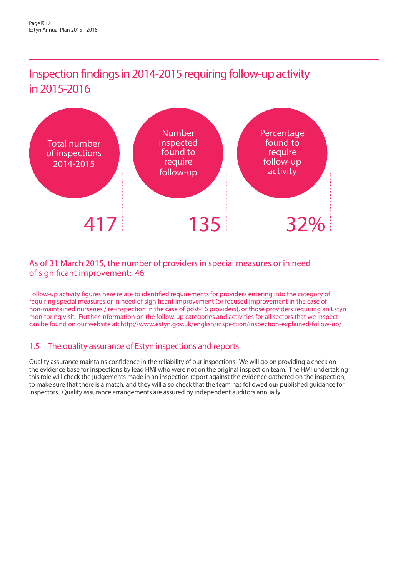Inspection findings in 2014-2015 requiring follow-up activity in 2015-2016



## As of 31 March 2015, the number of providers in special measures or in need of significant improvement: 46

Follow-up activity figures here relate to identified requirements for providers entering into the category of requiring special measures or in need of significant improvement (or focused improvement in the case of non-maintained nurseries / re-inspection in the case of post-16 providers), or those providers requiring an Estyn monitoring visit. Further information on the follow-up categories and activities for all sectors that we inspect can be found on our website at: http://www.estyn.gov.uk/english/inspection/inspection-explained/follow-up/

## 1.5 The quality assurance of Estyn inspections and reports

Quality assurance maintains confidence in the reliability of our inspections. We will go on providing a check on the evidence base for inspections by lead HMI who were not on the original inspection team. The HMI undertaking this role will check the judgements made in an inspection report against the evidence gathered on the inspection, to make sure that there is a match, and they will also check that the team has followed our published guidance for inspectors. Quality assurance arrangements are assured by independent auditors annually.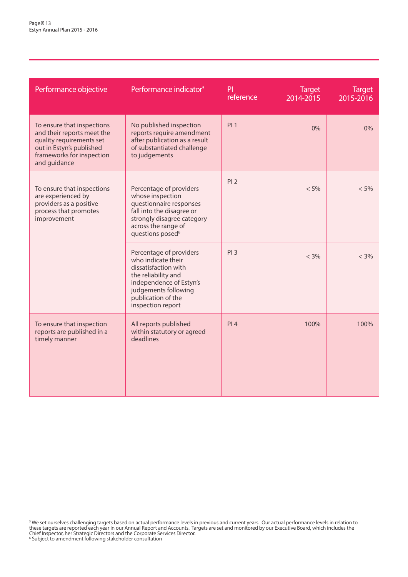| Performance objective                                                                                                                                         | Performance indicator <sup>5</sup>                                                                                                                                                         | PI<br>reference | <b>Target</b><br>2014-2015 | <b>Target</b><br>2015-2016 |
|---------------------------------------------------------------------------------------------------------------------------------------------------------------|--------------------------------------------------------------------------------------------------------------------------------------------------------------------------------------------|-----------------|----------------------------|----------------------------|
| To ensure that inspections<br>and their reports meet the<br>quality requirements set<br>out in Estyn's published<br>frameworks for inspection<br>and guidance | No published inspection<br>reports require amendment<br>after publication as a result<br>of substantiated challenge<br>to judgements                                                       | PI <sub>1</sub> | 0%                         | 0%                         |
| To ensure that inspections<br>are experienced by<br>providers as a positive<br>process that promotes<br>improvement                                           | Percentage of providers<br>whose inspection<br>questionnaire responses<br>fall into the disagree or<br>strongly disagree category<br>across the range of<br>questions posed <sup>6</sup>   | PI <sub>2</sub> | $< 5\%$                    | $< 5\%$                    |
|                                                                                                                                                               | Percentage of providers<br>who indicate their<br>dissatisfaction with<br>the reliability and<br>independence of Estyn's<br>judgements following<br>publication of the<br>inspection report | PI3             | $< 3\%$                    | $< 3\%$                    |
| To ensure that inspection<br>reports are published in a<br>timely manner                                                                                      | All reports published<br>within statutory or agreed<br>deadlines                                                                                                                           | PI4             | 100%                       | 100%                       |

 $^5$  We set ourselves challenging targets based on actual performance levels in previous and current years. Our actual performance levels in relation to these targets are reported each year in our Annual Report and Accounts. Targets are set and monitored by our Executive Board, which includes the Chief Inspector, her Strategic Directors and the Corporate Services Director. 6 Subject to amendment following stakeholder consultation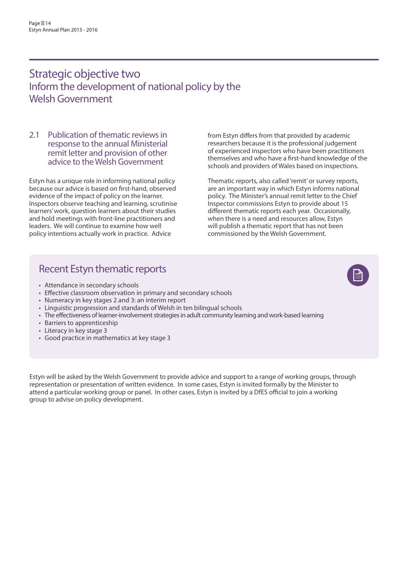# Strategic objective two Inform the development of national policy by the Welsh Government

#### 2.1 Publication of thematic reviews in response to the annual Ministerial remit letter and provision of other advice to the Welsh Government

Estyn has a unique role in informing national policy because our advice is based on first-hand, observed evidence of the impact of policy on the learner. Inspectors observe teaching and learning, scrutinise learners' work, question learners about their studies and hold meetings with front-line practitioners and leaders. We will continue to examine how well policy intentions actually work in practice. Advice

from Estyn differs from that provided by academic researchers because it is the professional judgement of experienced inspectors who have been practitioners themselves and who have a first-hand knowledge of the schools and providers of Wales based on inspections.

Thematic reports, also called 'remit' or survey reports, are an important way in which Estyn informs national policy. The Minister's annual remit letter to the Chief Inspector commissions Estyn to provide about 15 different thematic reports each year. Occasionally, when there is a need and resources allow, Estyn will publish a thematic report that has not been commissioned by the Welsh Government.

## Recent Estyn thematic reports

- Attendance in secondary schools
- Effective classroom observation in primary and secondary schools
- Numeracy in key stages 2 and 3: an interim report
- Linguistic progression and standards of Welsh in ten bilingual schools
- The effectiveness of learner-involvement strategies in adult community learning and work-based learning
- Barriers to apprenticeship
- Literacy in key stage 3
- Good practice in mathematics at key stage 3

Estyn will be asked by the Welsh Government to provide advice and support to a range of working groups, through representation or presentation of written evidence. In some cases, Estyn is invited formally by the Minister to attend a particular working group or panel. In other cases, Estyn is invited by a DfES official to join a working group to advise on policy development.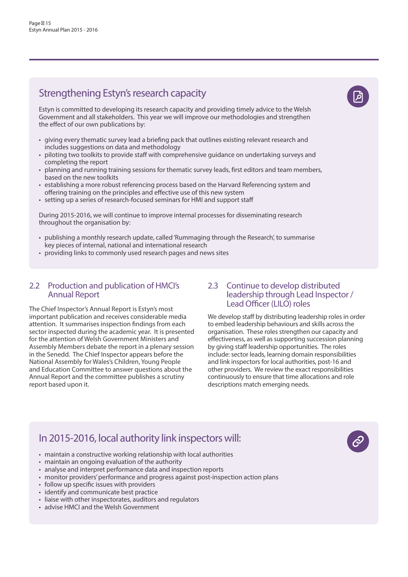# Strengthening Estyn's research capacity

Estyn is committed to developing its research capacity and providing timely advice to the Welsh Government and all stakeholders. This year we will improve our methodologies and strengthen the effect of our own publications by:

- giving every thematic survey lead a briefing pack that outlines existing relevant research and includes suggestions on data and methodology
- piloting two toolkits to provide staff with comprehensive guidance on undertaking surveys and completing the report
- planning and running training sessions for thematic survey leads, first editors and team members, based on the new toolkits
- establishing a more robust referencing process based on the Harvard Referencing system and offering training on the principles and effective use of this new system
- setting up a series of research-focused seminars for HMI and support staff

During 2015-2016, we will continue to improve internal processes for disseminating research throughout the organisation by:

- publishing a monthly research update, called 'Rummaging through the Research', to summarise key pieces of internal, national and international research
- providing links to commonly used research pages and news sites

### 2.2 Production and publication of HMCI's Annual Report

The Chief Inspector's Annual Report is Estyn's most important publication and receives considerable media attention. It summarises inspection findings from each sector inspected during the academic year. It is presented for the attention of Welsh Government Ministers and Assembly Members debate the report in a plenary session in the Senedd. The Chief Inspector appears before the National Assembly for Wales's Children, Young People and Education Committee to answer questions about the Annual Report and the committee publishes a scrutiny report based upon it.

# 2.3 Continue to develop distributed<br>leadership through Lead Inspector / Lead Officer (LILO) roles

We develop staff by distributing leadership roles in order to embed leadership behaviours and skills across the organisation. These roles strengthen our capacity and effectiveness, as well as supporting succession planning by giving staff leadership opportunities. The roles include: sector leads, learning domain responsibilities and link inspectors for local authorities, post-16 and other providers. We review the exact responsibilities continuously to ensure that time allocations and role descriptions match emerging needs.

## In 2015-2016, local authority link inspectors will:

- maintain a constructive working relationship with local authorities
- maintain an ongoing evaluation of the authority
- analyse and interpret performance data and inspection reports
- monitor providers' performance and progress against post-inspection action plans
- follow up specific issues with providers
- identify and communicate best practice
- liaise with other inspectorates, auditors and regulators
- advise HMCI and the Welsh Government

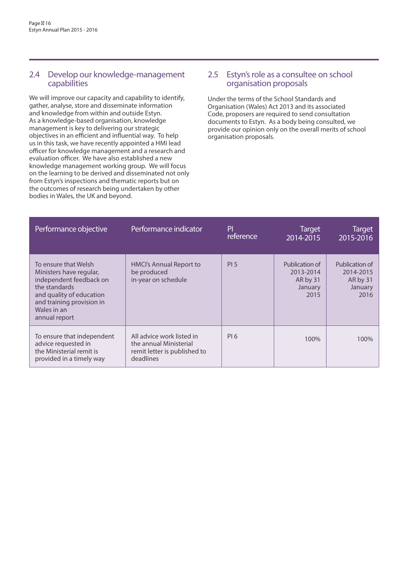### 2.4 Develop our knowledge-management capabilities

We will improve our capacity and capability to identify, gather, analyse, store and disseminate information and knowledge from within and outside Estyn. As a knowledge-based organisation, knowledge management is key to delivering our strategic objectives in an efficient and influential way. To help us in this task, we have recently appointed a HMI lead officer for knowledge management and a research and evaluation officer. We have also established a new knowledge management working group. We will focus on the learning to be derived and disseminated not only from Estyn's inspections and thematic reports but on the outcomes of research being undertaken by other bodies in Wales, the UK and beyond.

### 2.5 Estyn's role as a consultee on school organisation proposals

Under the terms of the School Standards and Organisation (Wales) Act 2013 and its associated Code, proposers are required to send consultation documents to Estyn. As a body being consulted, we provide our opinion only on the overall merits of school organisation proposals.

| Performance objective                                                                                                                                                                | Performance indicator                                                                            | PI<br>reference | <b>Target</b><br>2014-2015                                 | <b>Target</b><br>2015-2016                                 |
|--------------------------------------------------------------------------------------------------------------------------------------------------------------------------------------|--------------------------------------------------------------------------------------------------|-----------------|------------------------------------------------------------|------------------------------------------------------------|
| To ensure that Welsh<br>Ministers have regular,<br>independent feedback on<br>the standards<br>and quality of education<br>and training provision in<br>Wales in an<br>annual report | HMCI's Annual Report to<br>be produced<br>in-year on schedule                                    | PI <sub>5</sub> | Publication of<br>2013-2014<br>AR by 31<br>January<br>2015 | Publication of<br>2014-2015<br>AR by 31<br>January<br>2016 |
| To ensure that independent<br>advice requested in<br>the Ministerial remit is<br>provided in a timely way                                                                            | All advice work listed in<br>the annual Ministerial<br>remit letter is published to<br>deadlines | PI 6            | 100%                                                       | 100%                                                       |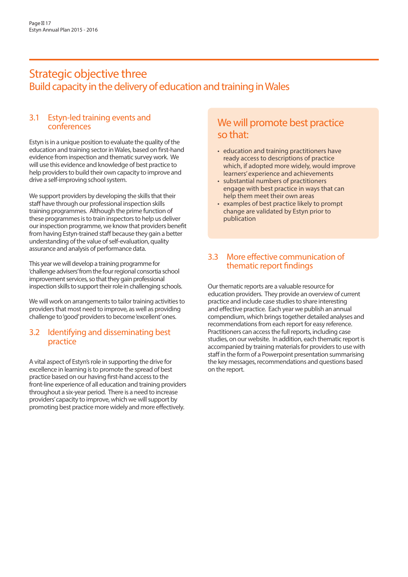# Strategic objective three Build capacity in the delivery of education and training in Wales

### 3.1 Estyn-led training events and conferences

Estyn is in a unique position to evaluate the quality of the education and training sector in Wales, based on first-hand evidence from inspection and thematic survey work. We will use this evidence and knowledge of best practice to help providers to build their own capacity to improve and drive a self-improving school system.

We support providers by developing the skills that their staff have through our professional inspection skills training programmes. Although the prime function of these programmes is to train inspectors to help us deliver our inspection programme, we know that providers benefit from having Estyn-trained staff because they gain a better understanding of the value of self-evaluation, quality assurance and analysis of performance data.

This year we will develop a training programme for 'challenge advisers' from the four regional consortia school improvement services, so that they gain professional inspection skills to support their role in challenging schools.

We will work on arrangements to tailor training activities to providers that most need to improve, as well as providing challenge to 'good' providers to become 'excellent' ones.

### 3.2 Identifying and disseminating best practice

A vital aspect of Estyn's role in supporting the drive for excellence in learning is to promote the spread of best practice based on our having first-hand access to the front-line experience of all education and training providers throughout a six-year period. There is a need to increase providers' capacity to improve, which we will support by promoting best practice more widely and more effectively.

# We will promote best practice so that:

- education and training practitioners have ready access to descriptions of practice which, if adopted more widely, would improve learners' experience and achievements
- substantial numbers of practitioners engage with best practice in ways that can help them meet their own areas
- examples of best practice likely to prompt change are validated by Estyn prior to publication

## 3.3 More effective communication of thematic report findings

Our thematic reports are a valuable resource for education providers. They provide an overview of current practice and include case studies to share interesting and effective practice. Each year we publish an annual compendium, which brings together detailed analyses and recommendations from each report for easy reference. Practitioners can access the full reports, including case studies, on our website. In addition, each thematic report is accompanied by training materials for providers to use with staff in the form of a Powerpoint presentation summarising the key messages, recommendations and questions based on the report.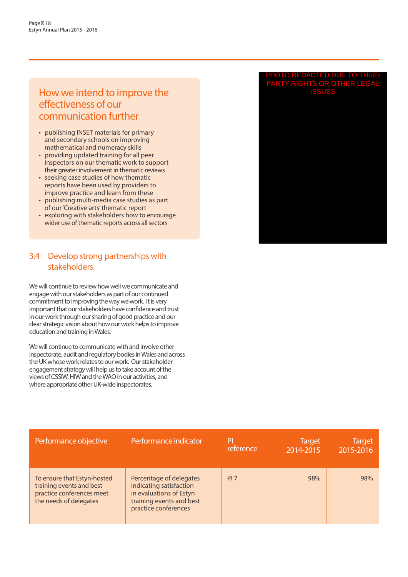## How we intend to improve the effectiveness of our communication further

- publishing INSET materials for primary and secondary schools on improving mathematical and numeracy skills
- providing updated training for all peer inspectors on our thematic work to support their greater involvement in thematic reviews
- seeking case studies of how thematic reports have been used by providers to improve practice and learn from these
- publishing multi-media case studies as part of our 'Creative arts' thematic report
- exploring with stakeholders how to encourage wider use of thematic reports across all sectors

## 3.4 Develop strong partnerships with stakeholders

We will continue to review how well we communicate and engage with our stakeholders as part of our continued commitment to improving the way we work. It is very important that our stakeholders have confidence and trust in our work through our sharing of good practice and our clear strategic vision about how our work helps to improve education and training in Wales.

We will continue to communicate with and involve other inspectorate, audit and regulatory bodies in Wales and across the UK whose work relates to our work. Our stakeholder engagement strategy will help us to take account of the views of CSSIW, HIW and the WAO in our activities, and where appropriate other UK-wide inspectorates.

#### PHOTO REDACTED DUE TO THIRD PARTY RIGHTS OR OTHER LEGAL ISSUES

| Performance objective                                                                                          | Performance indicator                                                                                                             | P<br>reference  | <b>Target</b><br>2014-2015 | <b>Target</b><br>2015-2016 |
|----------------------------------------------------------------------------------------------------------------|-----------------------------------------------------------------------------------------------------------------------------------|-----------------|----------------------------|----------------------------|
| To ensure that Estyn-hosted<br>training events and best<br>practice conferences meet<br>the needs of delegates | Percentage of delegates<br>indicating satisfaction<br>in evaluations of Estyn<br>training events and best<br>practice conferences | PI <sub>7</sub> | 98%                        | 98%                        |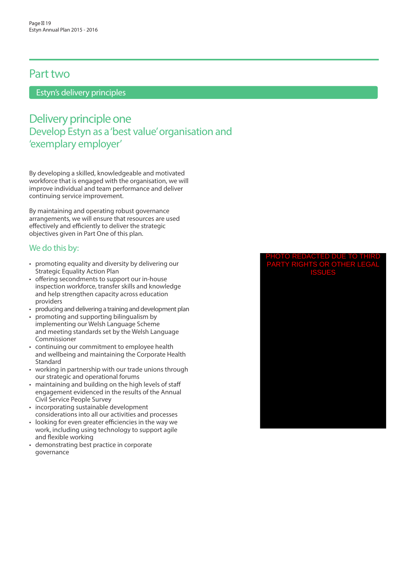## Part two

Estyn's delivery principles

# Delivery principle one Develop Estyn as a 'best value' organisation and 'exemplary employer'

By developing a skilled, knowledgeable and motivated workforce that is engaged with the organisation, we will improve individual and team performance and deliver continuing service improvement.

By maintaining and operating robust governance arrangements, we will ensure that resources are used effectively and efficiently to deliver the strategic objectives given in Part One of this plan.

### We do this by:

- promoting equality and diversity by delivering our Strategic Equality Action Plan
- offering secondments to support our in-house inspection workforce, transfer skills and knowledge and help strengthen capacity across education providers
- producing and delivering a training and development plan
- promoting and supporting bilingualism by implementing our Welsh Language Scheme and meeting standards set by the Welsh Language Commissioner
- continuing our commitment to employee health and wellbeing and maintaining the Corporate Health Standard
- working in partnership with our trade unions through our strategic and operational forums
- maintaining and building on the high levels of staff engagement evidenced in the results of the Annual Civil Service People Survey
- incorporating sustainable development considerations into all our activities and processes
- looking for even greater efficiencies in the way we work, including using technology to support agile and flexible working
- demonstrating best practice in corporate governance

#### PHOTO REDACTED DUE TO THIRD PARTY RIGHTS OR OTHER LEGAL ISSUES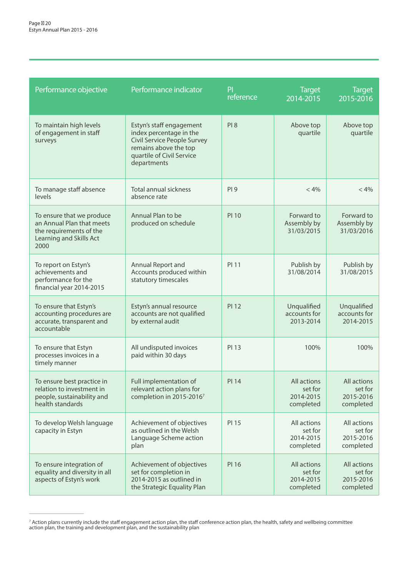| Performance objective                                                                                                | Performance indicator                                                                                                                                   | PI<br>reference | <b>Target</b><br>2014-2015                       | <b>Target</b><br>$\overline{2015}$ -2016         |
|----------------------------------------------------------------------------------------------------------------------|---------------------------------------------------------------------------------------------------------------------------------------------------------|-----------------|--------------------------------------------------|--------------------------------------------------|
| To maintain high levels<br>of engagement in staff<br>surveys                                                         | Estyn's staff engagement<br>index percentage in the<br>Civil Service People Survey<br>remains above the top<br>quartile of Civil Service<br>departments | PI <sub>8</sub> | Above top<br>quartile                            | Above top<br>quartile                            |
| To manage staff absence<br>levels                                                                                    | <b>Total annual sickness</b><br>absence rate                                                                                                            | PI9             | < 4%                                             | < 4%                                             |
| To ensure that we produce<br>an Annual Plan that meets<br>the requirements of the<br>Learning and Skills Act<br>2000 | Annual Plan to be<br>produced on schedule                                                                                                               | <b>PI 10</b>    | Forward to<br>Assembly by<br>31/03/2015          | Forward to<br>Assembly by<br>31/03/2016          |
| To report on Estyn's<br>achievements and<br>performance for the<br>financial year 2014-2015                          | Annual Report and<br>Accounts produced within<br>statutory timescales                                                                                   | PI 11           | Publish by<br>31/08/2014                         | Publish by<br>31/08/2015                         |
| To ensure that Estyn's<br>accounting procedures are<br>accurate, transparent and<br>accountable                      | Estyn's annual resource<br>accounts are not qualified<br>by external audit                                                                              | <b>PI 12</b>    | Unqualified<br>accounts for<br>2013-2014         | Unqualified<br>accounts for<br>2014-2015         |
| To ensure that Estyn<br>processes invoices in a<br>timely manner                                                     | All undisputed invoices<br>paid within 30 days                                                                                                          | PI 13           | 100%                                             | 100%                                             |
| To ensure best practice in<br>relation to investment in<br>people, sustainability and<br>health standards            | Full implementation of<br>relevant action plans for<br>completion in 2015-20167                                                                         | <b>PI 14</b>    | All actions<br>set for<br>2014-2015<br>completed | All actions<br>set for<br>2015-2016<br>completed |
| To develop Welsh language<br>capacity in Estyn                                                                       | Achievement of objectives<br>as outlined in the Welsh<br>Language Scheme action<br>plan                                                                 | PI 15           | All actions<br>set for<br>2014-2015<br>completed | All actions<br>set for<br>2015-2016<br>completed |
| To ensure integration of<br>equality and diversity in all<br>aspects of Estyn's work                                 | Achievement of objectives<br>set for completion in<br>2014-2015 as outlined in<br>the Strategic Equality Plan                                           | <b>PI 16</b>    | All actions<br>set for<br>2014-2015<br>completed | All actions<br>set for<br>2015-2016<br>completed |

<sup>7</sup> Action plans currently include the staff engagement action plan, the staff conference action plan, the health, safety and wellbeing committee action plan, the training and development plan, and the sustainability plan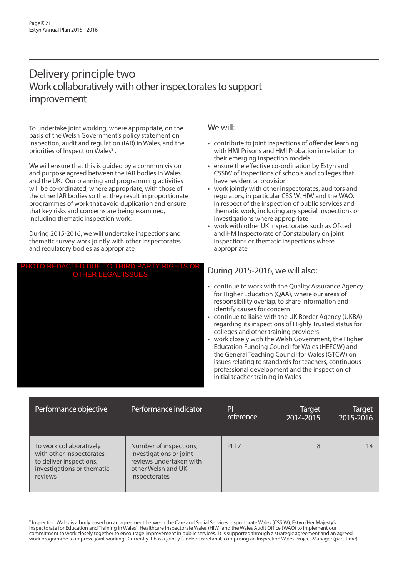# Delivery principle two Work collaboratively with other inspectorates to support improvement

To undertake joint working, where appropriate, on the basis of the Welsh Government's policy statement on inspection, audit and regulation (IAR) in Wales, and the priorities of Inspection Wales<sup>8</sup>.

We will ensure that this is guided by a common vision and purpose agreed between the IAR bodies in Wales and the UK. Our planning and programming activities will be co-ordinated, where appropriate, with those of the other IAR bodies so that they result in proportionate programmes of work that avoid duplication and ensure that key risks and concerns are being examined, including thematic inspection work.

During 2015-2016, we will undertake inspections and thematic survey work jointly with other inspectorates and regulatory bodies as appropriate

#### PHOTO REDACTED DUE TO THIRD PARTY RIGHTS OR OTHER LEGAL ISSUES



### We will:

- contribute to joint inspections of offender learning with HMI Prisons and HMI Probation in relation to their emerging inspection models
- ensure the effective co-ordination by Estyn and CSSIW of inspections of schools and colleges that have residential provision
- work jointly with other inspectorates, auditors and regulators, in particular CSSIW, HIW and the WAO, in respect of the inspection of public services and thematic work, including any special inspections or investigations where appropriate
- work with other UK inspectorates such as Ofsted and HM Inspectorate of Constabulary on joint inspections or thematic inspections where appropriate

## During 2015-2016, we will also:

- continue to work with the Quality Assurance Agency for Higher Education (QAA), where our areas of responsibility overlap, to share information and identify causes for concern
- continue to liaise with the UK Border Agency (UKBA) regarding its inspections of Highly Trusted status for colleges and other training providers
- work closely with the Welsh Government, the Higher Education Funding Council for Wales (HEFCW) and the General Teaching Council for Wales (GTCW) on issues relating to standards for teachers, continuous professional development and the inspection of initial teacher training in Wales

| Performance objective                                                                                                   | Performance indicator                                                                                                      | PI<br>reference | <b>Target</b><br>2014-2015 | <b>Target</b><br>2015-2016 |
|-------------------------------------------------------------------------------------------------------------------------|----------------------------------------------------------------------------------------------------------------------------|-----------------|----------------------------|----------------------------|
| To work collaboratively<br>with other inspectorates<br>to deliver inspections,<br>investigations or thematic<br>reviews | Number of inspections,<br>investigations or joint<br>reviews undertaken with<br>other Welsh and UK<br><i>inspectorates</i> | <b>PI 17</b>    | 8                          | 14                         |

<sup>&</sup>lt;sup>8</sup> Inspection Wales is a body based on an agreement between the Care and Social Services Inspectorate Wales (CSSIW), Estyn (Her Majesty's Inspectorate for Education and Training in Wales), Healthcare Inspectorate Wales (HIW) and the Wales Audit Office (WAO) to implement our commitment to work closely together to encourage improvement in public services. It is supported through a strategic agreement and an agreed work programme to improve joint working. Currently it has a jointly funded secretariat, comprising an Inspection Wales Project Manager (part-time).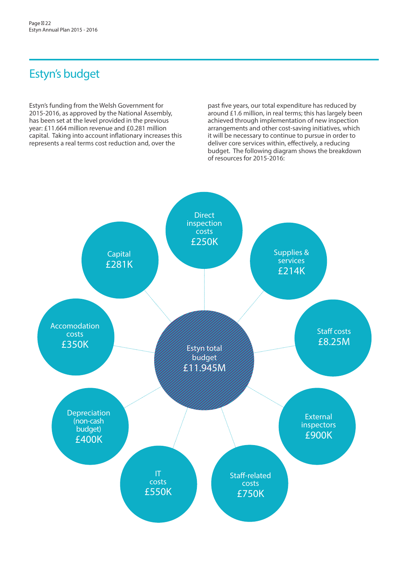# Estyn's budget

Estyn's funding from the Welsh Government for 2015-2016, as approved by the National Assembly, has been set at the level provided in the previous year: £11.664 million revenue and £0.281 million capital. Taking into account inflationary increases this represents a real terms cost reduction and, over the

past five years, our total expenditure has reduced by around £1.6 million, in real terms; this has largely been achieved through implementation of new inspection arrangements and other cost-saving initiatives, which it will be necessary to continue to pursue in order to deliver core services within, effectively, a reducing budget. The following diagram shows the breakdown of resources for 2015-2016:

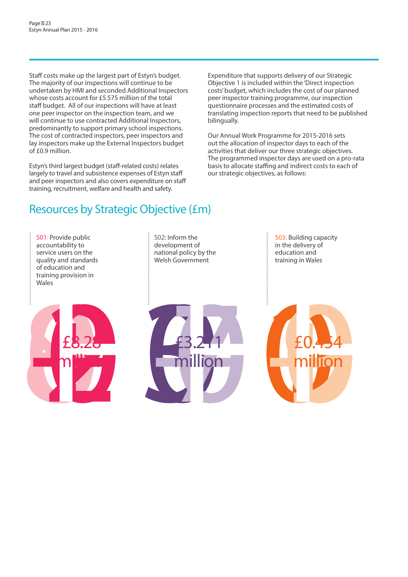Staff costs make up the largest part of Estyn's budget. The majority of our inspections will continue to be undertaken by HMI and seconded Additional Inspectors whose costs account for £5.575 million of the total staff budget. All of our inspections will have at least one peer inspector on the inspection team, and we will continue to use contracted Additional Inspectors, predominantly to support primary school inspections. The cost of contracted inspectors, peer inspectors and lay inspectors make up the External Inspectors budget of £0.9 million.

Estyn's third largest budget (staff-related costs) relates largely to travel and subsistence expenses of Estyn staff and peer inspectors and also covers expenditure on staff training, recruitment, welfare and health and safety.

Expenditure that supports delivery of our Strategic Objective 1 is included within the 'Direct inspection costs' budget, which includes the cost of our planned peer inspector training programme, our inspection questionnaire processes and the estimated costs of translating inspection reports that need to be published bilingually.

Our Annual Work Programme for 2015-2016 sets out the allocation of inspector days to each of the activities that deliver our three strategic objectives. The programmed inspector days are used on a pro-rata basis to allocate staffing and indirect costs to each of our strategic objectives, as follows:

# Resources by Strategic Objective (£m)

S01: Provide public accountability to service users on the quality and standards of education and training provision in Wales



S02: Inform the development of national policy by the Welsh Government



S03: Building capacity in the delivery of education and training in Wales

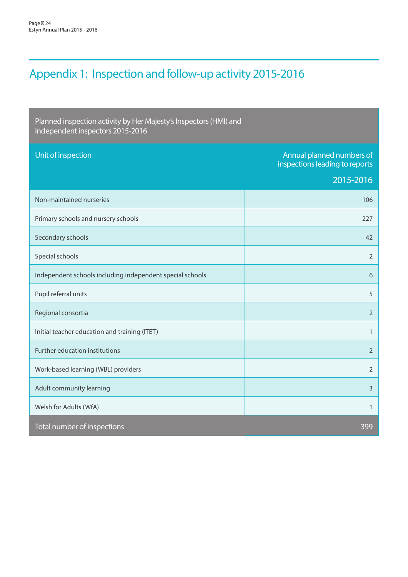# Appendix 1: Inspection and follow-up activity 2015-2016

Planned inspection activity by Her Majesty's Inspectors (HMI) and independent inspectors 2015-2016

| Unit of inspection                                        | Annual planned numbers of<br>inspections leading to reports |
|-----------------------------------------------------------|-------------------------------------------------------------|
|                                                           | 2015-2016                                                   |
| Non-maintained nurseries                                  | 106                                                         |
| Primary schools and nursery schools                       | 227                                                         |
| Secondary schools                                         | 42                                                          |
| Special schools                                           | $\overline{2}$                                              |
| Independent schools including independent special schools | 6                                                           |
| Pupil referral units                                      | 5                                                           |
| Regional consortia                                        | $\overline{2}$                                              |
| Initial teacher education and training (ITET)             | $\mathbf{1}$                                                |
| Further education institutions                            | $\overline{2}$                                              |
| Work-based learning (WBL) providers                       | $\overline{2}$                                              |
| Adult community learning                                  | $\overline{3}$                                              |
| Welsh for Adults (WfA)                                    | $\mathbf{1}$                                                |
| Total number of inspections                               | 399                                                         |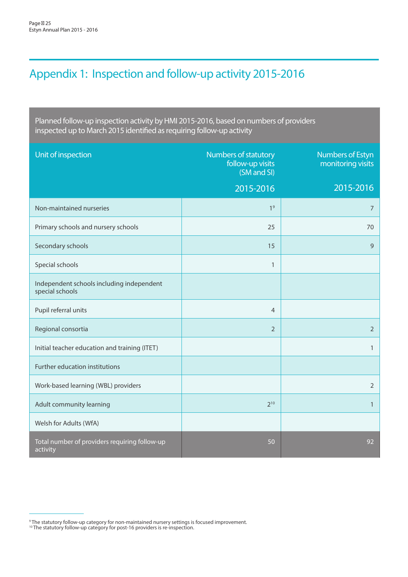# Appendix 1: Inspection and follow-up activity 2015-2016

Planned follow-up inspection activity by HMI 2015-2016, based on numbers of providers inspected up to March 2015 identified as requiring follow-up activity

| Unit of inspection                                           | Numbers of statutory<br>follow-up visits<br>(SM and SI) | <b>Numbers of Estyn</b><br>monitoring visits |
|--------------------------------------------------------------|---------------------------------------------------------|----------------------------------------------|
|                                                              | 2015-2016                                               | 2015-2016                                    |
| Non-maintained nurseries                                     | 1 <sup>9</sup>                                          | 7                                            |
| Primary schools and nursery schools                          | 25                                                      | 70                                           |
| Secondary schools                                            | 15                                                      | 9                                            |
| Special schools                                              | $\mathbf{1}$                                            |                                              |
| Independent schools including independent<br>special schools |                                                         |                                              |
| Pupil referral units                                         | $\overline{4}$                                          |                                              |
| Regional consortia                                           | $\overline{2}$                                          | $\overline{2}$                               |
| Initial teacher education and training (ITET)                |                                                         | $\mathbf{1}$                                 |
| Further education institutions                               |                                                         |                                              |
| Work-based learning (WBL) providers                          |                                                         | $\overline{2}$                               |
| Adult community learning                                     | $2^{10}$                                                | $\mathbf{1}$                                 |
| Welsh for Adults (WfA)                                       |                                                         |                                              |
| Total number of providers requiring follow-up<br>activity    | 50                                                      | 92                                           |

<sup>&</sup>lt;sup>9</sup> The statutory follow-up category for non-maintained nursery settings is focused improvement.<br><sup>10</sup> The statutory follow-up category for post-16 providers is re-inspection.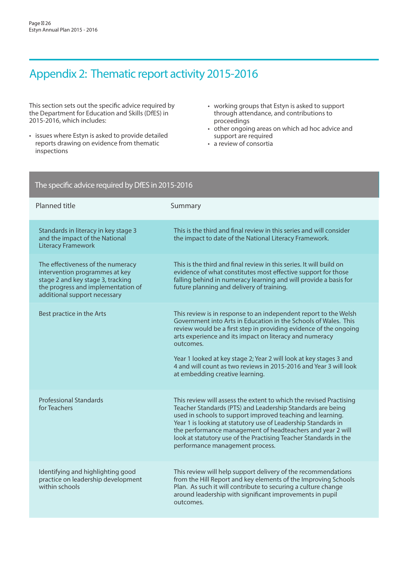# Appendix 2: Thematic report activity 2015-2016

This section sets out the specific advice required by the Department for Education and Skills (DfES) in 2015-2016, which includes:

- issues where Estyn is asked to provide detailed reports drawing on evidence from thematic inspections
- working groups that Estyn is asked to support through attendance, and contributions to proceedings
- other ongoing areas on which ad hoc advice and support are required
- a review of consortia

| The specific advice required by DfES in 2015-2016                                                                                                                              |                                                                                                                                                                                                                                                                                                                                                                                                                                                                |  |
|--------------------------------------------------------------------------------------------------------------------------------------------------------------------------------|----------------------------------------------------------------------------------------------------------------------------------------------------------------------------------------------------------------------------------------------------------------------------------------------------------------------------------------------------------------------------------------------------------------------------------------------------------------|--|
| <b>Planned title</b>                                                                                                                                                           | Summary                                                                                                                                                                                                                                                                                                                                                                                                                                                        |  |
| Standards in literacy in key stage 3<br>and the impact of the National<br><b>Literacy Framework</b>                                                                            | This is the third and final review in this series and will consider<br>the impact to date of the National Literacy Framework.                                                                                                                                                                                                                                                                                                                                  |  |
| The effectiveness of the numeracy<br>intervention programmes at key<br>stage 2 and key stage 3, tracking<br>the progress and implementation of<br>additional support necessary | This is the third and final review in this series. It will build on<br>evidence of what constitutes most effective support for those<br>falling behind in numeracy learning and will provide a basis for<br>future planning and delivery of training.                                                                                                                                                                                                          |  |
| Best practice in the Arts                                                                                                                                                      | This review is in response to an independent report to the Welsh<br>Government into Arts in Education in the Schools of Wales. This<br>review would be a first step in providing evidence of the ongoing<br>arts experience and its impact on literacy and numeracy<br>outcomes.<br>Year 1 looked at key stage 2; Year 2 will look at key stages 3 and<br>4 and will count as two reviews in 2015-2016 and Year 3 will look<br>at embedding creative learning. |  |
| <b>Professional Standards</b><br>for Teachers                                                                                                                                  | This review will assess the extent to which the revised Practising<br>Teacher Standards (PTS) and Leadership Standards are being<br>used in schools to support improved teaching and learning.<br>Year 1 is looking at statutory use of Leadership Standards in<br>the performance management of headteachers and year 2 will<br>look at statutory use of the Practising Teacher Standards in the<br>performance management process.                           |  |
| Identifying and highlighting good<br>practice on leadership development<br>within schools                                                                                      | This review will help support delivery of the recommendations<br>from the Hill Report and key elements of the Improving Schools<br>Plan. As such it will contribute to securing a culture change<br>around leadership with significant improvements in pupil<br>outcomes.                                                                                                                                                                                      |  |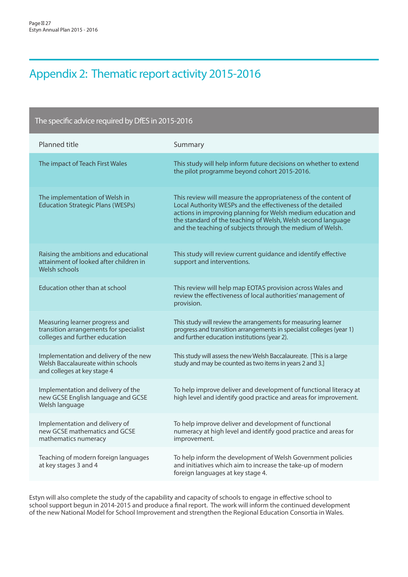# Appendix 2: Thematic report activity 2015-2016

#### The specific advice required by DfES in 2015-2016 Planned title Summary The impact of Teach First Wales This study will help inform future decisions on whether to extend the pilot programme beyond cohort 2015-2016. The implementation of Welsh in Education Strategic Plans (WESPs) This review will measure the appropriateness of the content of Local Authority WESPs and the effectiveness of the detailed actions in improving planning for Welsh medium education and the standard of the teaching of Welsh, Welsh second language and the teaching of subjects through the medium of Welsh. Raising the ambitions and educational attainment of looked after children in Welsh schools This study will review current guidance and identify effective support and interventions. Education other than at school This review will help map EOTAS provision across Wales and review the effectiveness of local authorities' management of provision. Measuring learner progress and transition arrangements for specialist colleges and further education This study will review the arrangements for measuring learner progress and transition arrangements in specialist colleges (year 1) and further education institutions (year 2). Implementation and delivery of the new Welsh Baccalaureate within schools and colleges at key stage 4 This study will assess the new Welsh Baccalaureate. [This is a large study and may be counted as two items in years 2 and 3.] Implementation and delivery of the new GCSE English language and GCSE Welsh language To help improve deliver and development of functional literacy at high level and identify good practice and areas for improvement. Implementation and delivery of new GCSE mathematics and GCSE mathematics numeracy To help improve deliver and development of functional numeracy at high level and identify good practice and areas for improvement. Teaching of modern foreign languages at key stages 3 and 4 To help inform the development of Welsh Government policies and initiatives which aim to increase the take-up of modern foreign languages at key stage 4.

Estyn will also complete the study of the capability and capacity of schools to engage in effective school to school support begun in 2014-2015 and produce a final report. The work will inform the continued development of the new National Model for School Improvement and strengthen the Regional Education Consortia in Wales.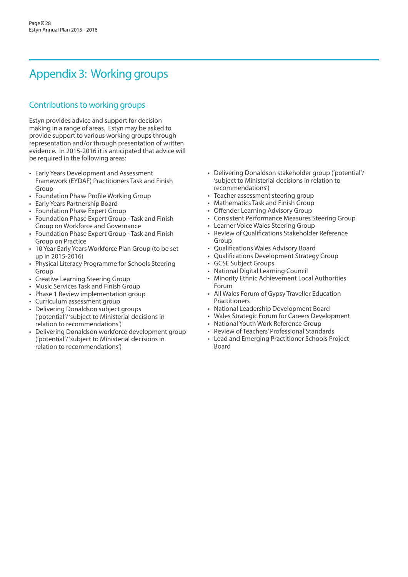# Appendix 3: Working groups

## Contributions to working groups

Estyn provides advice and support for decision making in a range of areas. Estyn may be asked to provide support to various working groups through representation and/or through presentation of written evidence. In 2015-2016 it is anticipated that advice will be required in the following areas:

- Early Years Development and Assessment Framework (EYDAF) Practitioners Task and Finish Group
- Foundation Phase Profile Working Group
- Early Years Partnership Board
- Foundation Phase Expert Group
- Foundation Phase Expert Group Task and Finish Group on Workforce and Governance
- Foundation Phase Expert Group Task and Finish Group on Practice
- 10 Year Early Years Workforce Plan Group (to be set up in 2015-2016)
- Physical Literacy Programme for Schools Steering Group
- Creative Learning Steering Group
- Music Services Task and Finish Group
- Phase 1 Review implementation group
- Curriculum assessment group
- Delivering Donaldson subject groups ('potential'/ 'subject to Ministerial decisions in relation to recommendations')
- Delivering Donaldson workforce development group ('potential'/ 'subject to Ministerial decisions in relation to recommendations')
- Delivering Donaldson stakeholder group ('potential'/ 'subject to Ministerial decisions in relation to recommendations')
- Teacher assessment steering group
- Mathematics Task and Finish Group
- Offender Learning Advisory Group
- Consistent Performance Measures Steering Group
- Learner Voice Wales Steering Group
- Review of Qualifications Stakeholder Reference Group
- Qualifications Wales Advisory Board
- Qualifications Development Strategy Group
- GCSE Subject Groups
- National Digital Learning Council
- Minority Ethnic Achievement Local Authorities Forum
- All Wales Forum of Gypsy Traveller Education Practitioners
- National Leadership Development Board
- Wales Strategic Forum for Careers Development
- National Youth Work Reference Group
- Review of Teachers' Professional Standards
- Lead and Emerging Practitioner Schools Project Board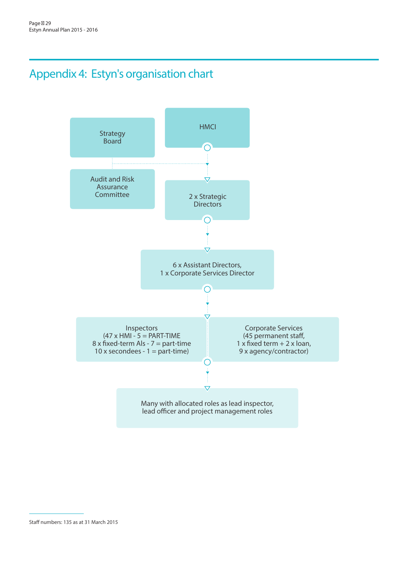# Appendix 4: Estyn's organisation chart



Staff numbers: 135 as at 31 March 2015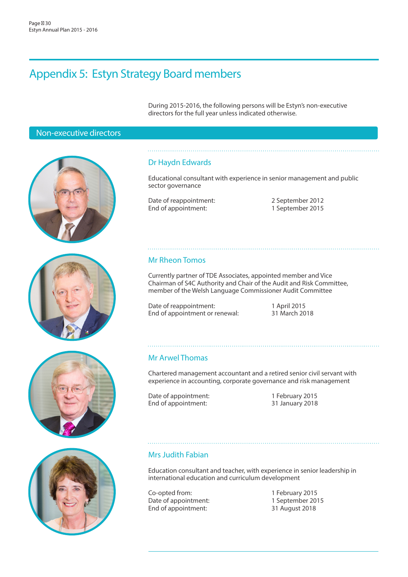# Appendix 5: Estyn Strategy Board members

During 2015-2016, the following persons will be Estyn's non-executive directors for the full year unless indicated otherwise.

## Non-executive directors









### Dr Haydn Edwards

Educational consultant with experience in senior management and public sector governance

Date of reappointment:<br>
End of appointment:<br>
2 September 2015 End of appointment:

### Mr Rheon Tomos

Currently partner of TDE Associates, appointed member and Vice Chairman of S4C Authority and Chair of the Audit and Risk Committee, member of the Welsh Language Commissioner Audit Committee

Date of reappointment: 1 April 2015<br>
For the of appointment or renewal: 31 March 2018 End of appointment or renewal:

### Mr Arwel Thomas

Chartered management accountant and a retired senior civil servant with experience in accounting, corporate governance and risk management

Date of appointment: 1 February 2015 End of appointment: 31 January 2018

### Mrs Judith Fabian

Education consultant and teacher, with experience in senior leadership in international education and curriculum development

Co-opted from: 1 February 2015<br>
Date of appointment: 1 September 2015 Date of appointment: End of appointment: 31 August 2018